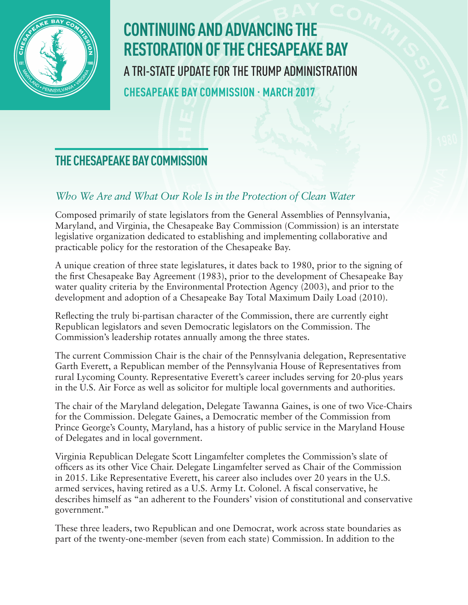

# **CONTINUING AND ADVANCING THE RESTORATION OF THE CHESAPEAKE BAY** A TRI-STATE UPDATE FOR THE TRUMP ADMINISTRATION **CHESAPEAKE BAY COMMISSION · MARCH 2017**

### **THE CHESAPEAKE BAY COMMISSION**

#### *Who We Are and What Our Role Is in the Protection of Clean Water*

Composed primarily of state legislators from the General Assemblies of Pennsylvania, Maryland, and Virginia, the Chesapeake Bay Commission (Commission) is an interstate legislative organization dedicated to establishing and implementing collaborative and practicable policy for the restoration of the Chesapeake Bay.

A unique creation of three state legislatures, it dates back to 1980, prior to the signing of the first Chesapeake Bay Agreement (1983), prior to the development of Chesapeake Bay water quality criteria by the Environmental Protection Agency (2003), and prior to the development and adoption of a Chesapeake Bay Total Maximum Daily Load (2010).

Reflecting the truly bi-partisan character of the Commission, there are currently eight Republican legislators and seven Democratic legislators on the Commission. The Commission's leadership rotates annually among the three states.

The current Commission Chair is the chair of the Pennsylvania delegation, Representative Garth Everett, a Republican member of the Pennsylvania House of Representatives from rural Lycoming County. Representative Everett's career includes serving for 20-plus years in the U.S. Air Force as well as solicitor for multiple local governments and authorities.

The chair of the Maryland delegation, Delegate Tawanna Gaines, is one of two Vice-Chairs for the Commission. Delegate Gaines, a Democratic member of the Commission from Prince George's County, Maryland, has a history of public service in the Maryland House of Delegates and in local government.

Virginia Republican Delegate Scott Lingamfelter completes the Commission's slate of officers as its other Vice Chair. Delegate Lingamfelter served as Chair of the Commission in 2015. Like Representative Everett, his career also includes over 20 years in the U.S. armed services, having retired as a U.S. Army Lt. Colonel. A fiscal conservative, he describes himself as "an adherent to the Founders' vision of constitutional and conservative government."

These three leaders, two Republican and one Democrat, work across state boundaries as part of the twenty-one-member (seven from each state) Commission. In addition to the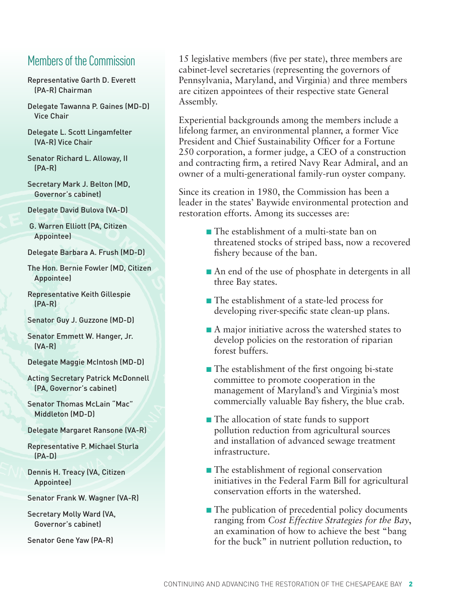#### Members of the Commission

- Representative [Garth D. Everett](http://www.legis.state.pa.us/cfdocs/legis/home/member_information/house_bio.cfm?id=1098) (PA-R) Chairman
- Delegate [Tawanna P. Gaines](http://mgaleg.maryland.gov/webmga/frmMain.aspx?pid=sponpage&tab=subject6&id=gaines&stab=01) (MD-D) Vice Chair
- Delegate [L. Scott Lingamfelter](http://virginiageneralassembly.gov/house/members/members.php?id=H0148) (VA-R) Vice Chair
- Senator Richard L. Alloway, II (PA-R)
- Secretary Mark J. Belton (MD, Governor's cabinet)
- Delegate David Bulova (VA-D)
- G. Warren Elliott (PA, Citizen Appointee)
- Delegate Barbara A. Frush (MD-D)
- The Hon. Bernie Fowler (MD, Citizen Appointee)
- Representative Keith Gillespie (PA-R)
- Senator Guy J. Guzzone (MD-D)
- Senator Emmett W. Hanger, Jr. (VA-R)
- Delegate Maggie McIntosh (MD-D)
- Acting Secretary Patrick McDonnell (PA, Governor's cabinet)
- Senator Thomas McLain "Mac" Middleton (MD-D)
- Delegate Margaret Ransone (VA-R)
- Representative P. Michael Sturla (PA-D)
- Dennis H. Treacy (VA, Citizen Appointee)
- Senator Frank W. Wagner (VA-R)
- Secretary Molly Ward (VA, Governor's cabinet)
- Senator Gene Yaw (PA-R)

15 legislative members (five per state), three members are cabinet-level secretaries (representing the governors of Pennsylvania, Maryland, and Virginia) and three members are citizen appointees of their respective state General Assembly.

Experiential backgrounds among the members include a lifelong farmer, an environmental planner, a former Vice President and Chief Sustainability Officer for a Fortune 250 corporation, a former judge, a CEO of a construction and contracting firm, a retired Navy Rear Admiral, and an owner of a multi-generational family-run oyster company.

Since its creation in 1980, the Commission has been a leader in the states' Baywide environmental protection and restoration efforts. Among its successes are:

- The establishment of a multi-state ban on threatened stocks of striped bass, now a recovered fishery because of the ban.
- An end of the use of phosphate in detergents in all three Bay states.
- The establishment of a state-led process for developing river-specific state clean-up plans.
- A major initiative across the watershed states to develop policies on the restoration of riparian forest buffers.
- The establishment of the first ongoing bi-state committee to promote cooperation in the management of Maryland's and Virginia's most commercially valuable Bay fishery, the blue crab.
- The allocation of state funds to support pollution reduction from agricultural sources and installation of advanced sewage treatment infrastructure.
- The establishment of regional conservation initiatives in the Federal Farm Bill for agricultural conservation efforts in the watershed.
- The publication of precedential policy documents ranging from *Cost Effective Strategies for the Bay*, an examination of how to achieve the best "bang for the buck" in nutrient pollution reduction, to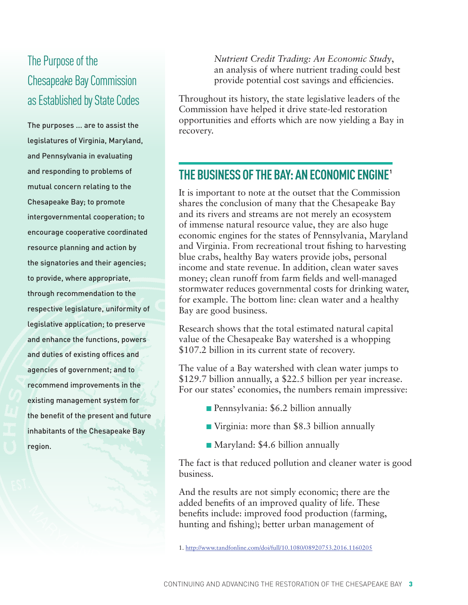## The Purpose of the Chesapeake Bay Commission as Established by State Codes

The purposes ... are to assist the legislatures of Virginia, Maryland, and Pennsylvania in evaluating and responding to problems of mutual concern relating to the Chesapeake Bay; to promote intergovernmental cooperation; to encourage cooperative coordinated resource planning and action by the signatories and their agencies; to provide, where appropriate, through recommendation to the respective legislature, uniformity of legislative application; to preserve and enhance the functions, powers and duties of existing offices and agencies of government; and to recommend improvements in the existing management system for the benefit of the present and future inhabitants of the Chesapeake Bay region.

*Nutrient Credit Trading: An Economic Study*, an analysis of where nutrient trading could best provide potential cost savings and efficiencies.

Throughout its history, the state legislative leaders of the Commission have helped it drive state-led restoration opportunities and efforts which are now yielding a Bay in recovery.

#### **THE BUSINESS OF THE BAY: AN ECONOMIC ENGINE1**

It is important to note at the outset that the Commission shares the conclusion of many that the Chesapeake Bay and its rivers and streams are not merely an ecosystem of immense natural resource value, they are also huge economic engines for the states of Pennsylvania, Maryland and Virginia. From recreational trout fishing to harvesting blue crabs, healthy Bay waters provide jobs, personal income and state revenue. In addition, clean water saves money; clean runoff from farm fields and well-managed stormwater reduces governmental costs for drinking water, for example. The bottom line: clean water and a healthy Bay are good business.

Research shows that the total estimated natural capital value of the Chesapeake Bay watershed is a whopping \$107.2 billion in its current state of recovery.

The value of a Bay watershed with clean water jumps to \$129.7 billion annually, a \$22.5 billion per year increase. For our states' economies, the numbers remain impressive:

- **n** Pennsylvania: \$6.2 billion annually
- Virginia: more than \$8.3 billion annually
- Maryland: \$4.6 billion annually

The fact is that reduced pollution and cleaner water is good business.

And the results are not simply economic; there are the added benefits of an improved quality of life. These benefits include: improved food production (farming, hunting and fishing); better urban management of

<sup>1.</sup> http://www.tandfonline.com/doi/full/10.1080/08920753.2016.1160205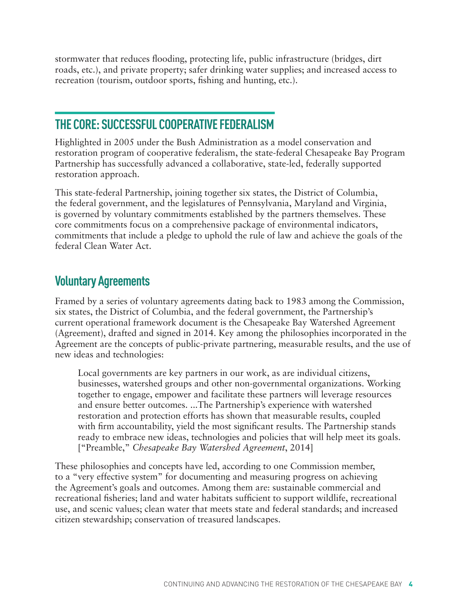stormwater that reduces flooding, protecting life, public infrastructure (bridges, dirt roads, etc.), and private property; safer drinking water supplies; and increased access to recreation (tourism, outdoor sports, fishing and hunting, etc.).

#### **THE CORE: SUCCESSFUL COOPERATIVE FEDERALISM**

Highlighted in 2005 under the Bush Administration as a model conservation and restoration program of cooperative federalism, the state-federal Chesapeake Bay Program Partnership has successfully advanced a collaborative, state-led, federally supported restoration approach.

This state-federal Partnership, joining together six states, the District of Columbia, the federal government, and the legislatures of Pennsylvania, Maryland and Virginia, is governed by voluntary commitments established by the partners themselves. These core commitments focus on a comprehensive package of environmental indicators, commitments that include a pledge to uphold the rule of law and achieve the goals of the federal Clean Water Act.

#### **Voluntary Agreements**

Framed by a series of voluntary agreements dating back to 1983 among the Commission, six states, the District of Columbia, and the federal government, the Partnership's current operational framework document is the Chesapeake Bay Watershed Agreement (Agreement), drafted and signed in 2014. Key among the philosophies incorporated in the Agreement are the concepts of public-private partnering, measurable results, and the use of new ideas and technologies:

Local governments are key partners in our work, as are individual citizens, businesses, watershed groups and other non-governmental organizations. Working together to engage, empower and facilitate these partners will leverage resources and ensure better outcomes. ...The Partnership's experience with watershed restoration and protection efforts has shown that measurable results, coupled with firm accountability, yield the most significant results. The Partnership stands ready to embrace new ideas, technologies and policies that will help meet its goals. ["Preamble," *Chesapeake Bay Watershed Agreement*, 2014]

These philosophies and concepts have led, according to one Commission member, to a "very effective system" for documenting and measuring progress on achieving the Agreement's goals and outcomes. Among them are: sustainable commercial and recreational fisheries; land and water habitats sufficient to support wildlife, recreational use, and scenic values; clean water that meets state and federal standards; and increased citizen stewardship; conservation of treasured landscapes.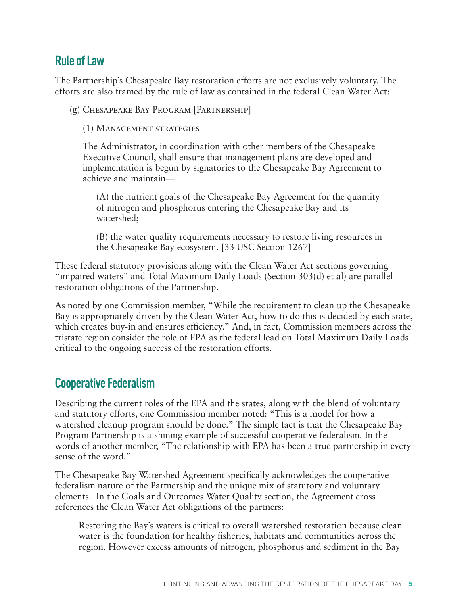#### **Rule of Law**

The Partnership's Chesapeake Bay restoration efforts are not exclusively voluntary. The efforts are also framed by the rule of law as contained in the federal Clean Water Act:

(g) Chesapeake Bay Program [Partnership]

(1) Management strategies

 The Administrator, in coordination with other members of the Chesapeake Executive Council, shall ensure that management plans are developed and implementation is begun by signatories to the Chesapeake Bay Agreement to achieve and maintain—

 (A) the nutrient goals of the Chesapeake Bay Agreement for the quantity of nitrogen and phosphorus entering the Chesapeake Bay and its watershed;

 (B) the water quality requirements necessary to restore living resources in the Chesapeake Bay ecosystem. [33 USC Section 1267]

These federal statutory provisions along with the Clean Water Act sections governing "impaired waters" and Total Maximum Daily Loads (Section 303(d) et al) are parallel restoration obligations of the Partnership.

As noted by one Commission member, "While the requirement to clean up the Chesapeake Bay is appropriately driven by the Clean Water Act, how to do this is decided by each state, which creates buy-in and ensures efficiency." And, in fact, Commission members across the tristate region consider the role of EPA as the federal lead on Total Maximum Daily Loads critical to the ongoing success of the restoration efforts.

#### **Cooperative Federalism**

Describing the current roles of the EPA and the states, along with the blend of voluntary and statutory efforts, one Commission member noted: "This is a model for how a watershed cleanup program should be done." The simple fact is that the Chesapeake Bay Program Partnership is a shining example of successful cooperative federalism. In the words of another member, "The relationship with EPA has been a true partnership in every sense of the word."

The Chesapeake Bay Watershed Agreement specifically acknowledges the cooperative federalism nature of the Partnership and the unique mix of statutory and voluntary elements. In the Goals and Outcomes Water Quality section, the Agreement cross references the Clean Water Act obligations of the partners:

Restoring the Bay's waters is critical to overall watershed restoration because clean water is the foundation for healthy fisheries, habitats and communities across the region. However excess amounts of nitrogen, phosphorus and sediment in the Bay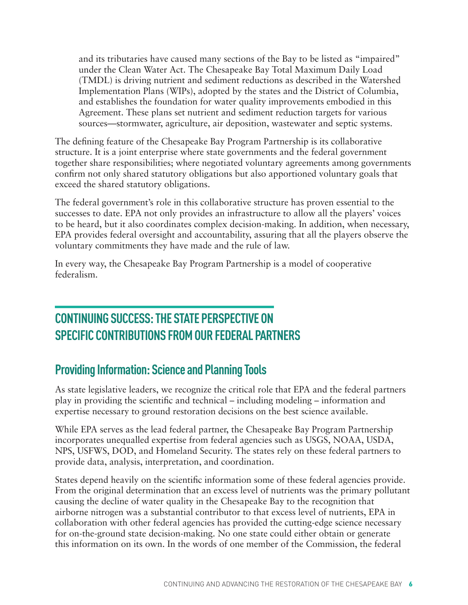and its tributaries have caused many sections of the Bay to be listed as "impaired" under the Clean Water Act. The Chesapeake Bay Total Maximum Daily Load (TMDL) is driving nutrient and sediment reductions as described in the Watershed Implementation Plans (WIPs), adopted by the states and the District of Columbia, and establishes the foundation for water quality improvements embodied in this Agreement. These plans set nutrient and sediment reduction targets for various sources—stormwater, agriculture, air deposition, wastewater and septic systems.

The defining feature of the Chesapeake Bay Program Partnership is its collaborative structure. It is a joint enterprise where state governments and the federal government together share responsibilities; where negotiated voluntary agreements among governments confirm not only shared statutory obligations but also apportioned voluntary goals that exceed the shared statutory obligations.

The federal government's role in this collaborative structure has proven essential to the successes to date. EPA not only provides an infrastructure to allow all the players' voices to be heard, but it also coordinates complex decision-making. In addition, when necessary, EPA provides federal oversight and accountability, assuring that all the players observe the voluntary commitments they have made and the rule of law.

In every way, the Chesapeake Bay Program Partnership is a model of cooperative federalism.

### **CONTINUING SUCCESS: THE STATE PERSPECTIVE ON SPECIFIC CONTRIBUTIONS FROM OUR FEDERAL PARTNERS**

### **Providing Information: Science and Planning Tools**

As state legislative leaders, we recognize the critical role that EPA and the federal partners play in providing the scientific and technical – including modeling – information and expertise necessary to ground restoration decisions on the best science available.

While EPA serves as the lead federal partner, the Chesapeake Bay Program Partnership incorporates unequalled expertise from federal agencies such as USGS, NOAA, USDA, NPS, USFWS, DOD, and Homeland Security. The states rely on these federal partners to provide data, analysis, interpretation, and coordination.

States depend heavily on the scientific information some of these federal agencies provide. From the original determination that an excess level of nutrients was the primary pollutant causing the decline of water quality in the Chesapeake Bay to the recognition that airborne nitrogen was a substantial contributor to that excess level of nutrients, EPA in collaboration with other federal agencies has provided the cutting-edge science necessary for on-the-ground state decision-making. No one state could either obtain or generate this information on its own. In the words of one member of the Commission, the federal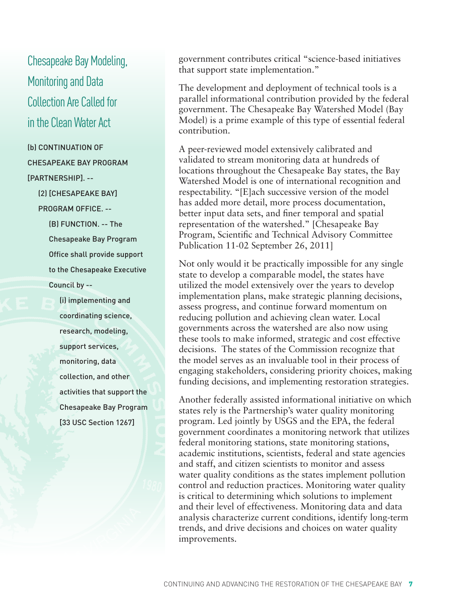Chesapeake Bay Modeling, Monitoring and Data Collection Are Called for in the Clean Water Act

(b) CONTINUATION OF CHESAPEAKE BAY PROGRAM [PARTNERSHIP]. --

> (2) [CHESAPEAKE BAY] PROGRAM OFFICE. --

> > (B) FUNCTION. -- The Chesapeake Bay Program Office shall provide support to the Chesapeake Executive Council by --

 (i) implementing and coordinating science, research, modeling, support services, monitoring, data collection, and other activities that support the Chesapeake Bay Program [33 USC Section 1267]

government contributes critical "science-based initiatives that support state implementation."

The development and deployment of technical tools is a parallel informational contribution provided by the federal government. The Chesapeake Bay Watershed Model (Bay Model) is a prime example of this type of essential federal contribution.

A peer-reviewed model extensively calibrated and validated to stream monitoring data at hundreds of locations throughout the Chesapeake Bay states, the Bay Watershed Model is one of international recognition and respectability. "[E]ach successive version of the model has added more detail, more process documentation, better input data sets, and finer temporal and spatial representation of the watershed." [Chesapeake Bay Program, Scientific and Technical Advisory Committee Publication 11-02 September 26, 2011]

Not only would it be practically impossible for any single state to develop a comparable model, the states have utilized the model extensively over the years to develop implementation plans, make strategic planning decisions, assess progress, and continue forward momentum on reducing pollution and achieving clean water. Local governments across the watershed are also now using these tools to make informed, strategic and cost effective decisions. The states of the Commission recognize that the model serves as an invaluable tool in their process of engaging stakeholders, considering priority choices, making funding decisions, and implementing restoration strategies.

Another federally assisted informational initiative on which states rely is the Partnership's water quality monitoring program. Led jointly by USGS and the EPA, the federal government coordinates a monitoring network that utilizes federal monitoring stations, state monitoring stations, academic institutions, scientists, federal and state agencies and staff, and citizen scientists to monitor and assess water quality conditions as the states implement pollution control and reduction practices. Monitoring water quality is critical to determining which solutions to implement and their level of effectiveness. Monitoring data and data analysis characterize current conditions, identify long-term trends, and drive decisions and choices on water quality improvements.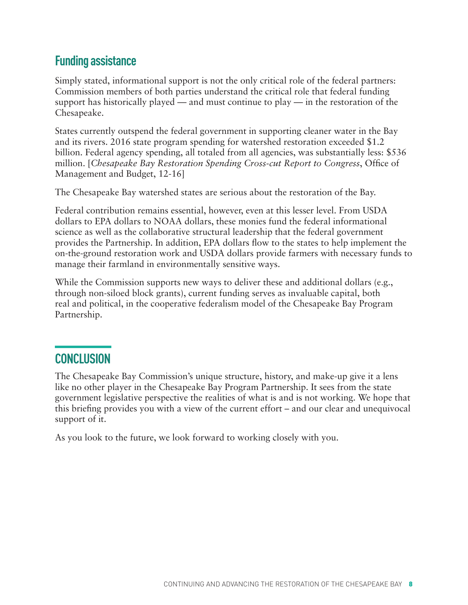#### **Funding assistance**

Simply stated, informational support is not the only critical role of the federal partners: Commission members of both parties understand the critical role that federal funding support has historically played — and must continue to play — in the restoration of the Chesapeake.

States currently outspend the federal government in supporting cleaner water in the Bay and its rivers. 2016 state program spending for watershed restoration exceeded \$1.2 billion. Federal agency spending, all totaled from all agencies, was substantially less: \$536 million. [*Chesapeake Bay Restoration Spending Cross-cut Report to Congress*, Office of Management and Budget, 12-16]

The Chesapeake Bay watershed states are serious about the restoration of the Bay.

Federal contribution remains essential, however, even at this lesser level. From USDA dollars to EPA dollars to NOAA dollars, these monies fund the federal informational science as well as the collaborative structural leadership that the federal government provides the Partnership. In addition, EPA dollars flow to the states to help implement the on-the-ground restoration work and USDA dollars provide farmers with necessary funds to manage their farmland in environmentally sensitive ways.

While the Commission supports new ways to deliver these and additional dollars (e.g., through non-siloed block grants), current funding serves as invaluable capital, both real and political, in the cooperative federalism model of the Chesapeake Bay Program Partnership.

#### **CONCLUSION**

The Chesapeake Bay Commission's unique structure, history, and make-up give it a lens like no other player in the Chesapeake Bay Program Partnership. It sees from the state government legislative perspective the realities of what is and is not working. We hope that this briefing provides you with a view of the current effort – and our clear and unequivocal support of it.

As you look to the future, we look forward to working closely with you.